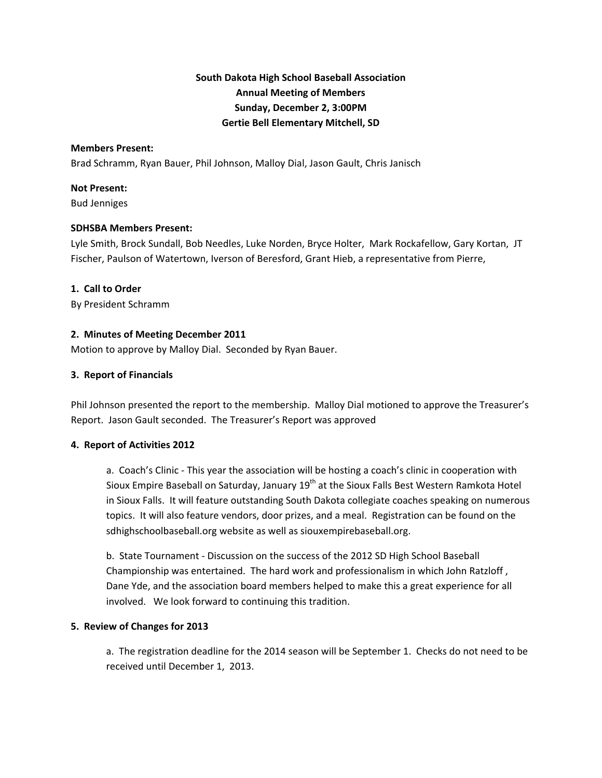# **South Dakota High School Baseball Association Annual Meeting of Members Sunday, December 2, 3:00PM Gertie Bell Elementary Mitchell, SD**

#### **Members Present:**

Brad Schramm, Ryan Bauer, Phil Johnson, Malloy Dial, Jason Gault, Chris Janisch

#### **Not Present:**

Bud Jenniges

#### **SDHSBA Members Present:**

Lyle Smith, Brock Sundall, Bob Needles, Luke Norden, Bryce Holter, Mark Rockafellow, Gary Kortan, JT Fischer, Paulson of Watertown, Iverson of Beresford, Grant Hieb, a representative from Pierre,

#### **1. Call to Order**

By President Schramm

### **2. Minutes of Meeting December 2011**

Motion to approve by Malloy Dial. Seconded by Ryan Bauer.

#### **3. Report of Financials**

Phil Johnson presented the report to the membership. Malloy Dial motioned to approve the Treasurer's Report. Jason Gault seconded. The Treasurer's Report was approved

### **4. Report of Activities 2012**

a. Coach's Clinic ‐ This year the association will be hosting a coach's clinic in cooperation with Sioux Empire Baseball on Saturday, January 19<sup>th</sup> at the Sioux Falls Best Western Ramkota Hotel in Sioux Falls. It will feature outstanding South Dakota collegiate coaches speaking on numerous topics. It will also feature vendors, door prizes, and a meal. Registration can be found on the sdhighschoolbaseball.org website as well as siouxempirebaseball.org.

b. State Tournament ‐ Discussion on the success of the 2012 SD High School Baseball Championship was entertained. The hard work and professionalism in which John Ratzloff , Dane Yde, and the association board members helped to make this a great experience for all involved. We look forward to continuing this tradition.

### **5. Review of Changes for 2013**

a. The registration deadline for the 2014 season will be September 1. Checks do not need to be received until December 1, 2013.